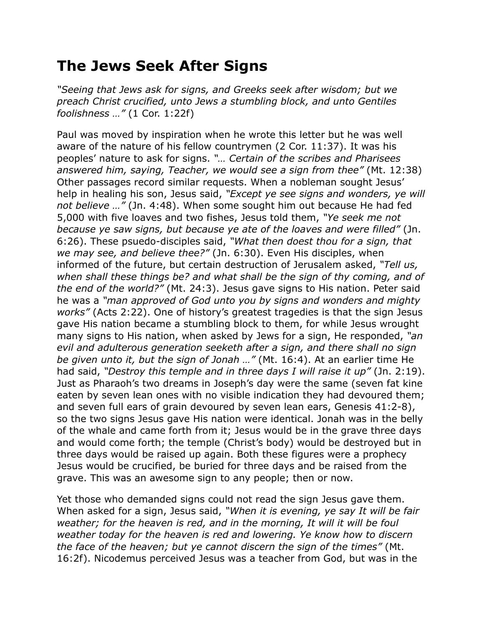## **The Jews Seek After Signs**

*"Seeing that Jews ask for signs, and Greeks seek after wisdom; but we preach Christ crucified, unto Jews a stumbling block, and unto Gentiles foolishness …"* (1 Cor. 1:22f)

Paul was moved by inspiration when he wrote this letter but he was well aware of the nature of his fellow countrymen (2 Cor. 11:37). It was his peoples' nature to ask for signs. *"… Certain of the scribes and Pharisees answered him, saying, Teacher, we would see a sign from thee"* (Mt. 12:38) Other passages record similar requests. When a nobleman sought Jesus' help in healing his son, Jesus said, *"Except ye see signs and wonders, ye will not believe …"* (Jn. 4:48). When some sought him out because He had fed 5,000 with five loaves and two fishes, Jesus told them, *"Ye seek me not because ye saw signs, but because ye ate of the loaves and were filled"* (Jn. 6:26). These psuedo-disciples said, *"What then doest thou for a sign, that we may see, and believe thee?"* (Jn. 6:30). Even His disciples, when informed of the future, but certain destruction of Jerusalem asked, *"Tell us, when shall these things be? and what shall be the sign of thy coming, and of the end of the world?"* (Mt. 24:3). Jesus gave signs to His nation. Peter said he was a *"man approved of God unto you by signs and wonders and mighty works"* (Acts 2:22). One of history's greatest tragedies is that the sign Jesus gave His nation became a stumbling block to them, for while Jesus wrought many signs to His nation, when asked by Jews for a sign, He responded, *"an evil and adulterous generation seeketh after a sign, and there shall no sign be given unto it, but the sign of Jonah …"* (Mt. 16:4). At an earlier time He had said, *"Destroy this temple and in three days I will raise it up"* (Jn. 2:19). Just as Pharaoh's two dreams in Joseph's day were the same (seven fat kine eaten by seven lean ones with no visible indication they had devoured them; and seven full ears of grain devoured by seven lean ears, Genesis 41:2-8), so the two signs Jesus gave His nation were identical. Jonah was in the belly of the whale and came forth from it; Jesus would be in the grave three days and would come forth; the temple (Christ's body) would be destroyed but in three days would be raised up again. Both these figures were a prophecy Jesus would be crucified, be buried for three days and be raised from the grave. This was an awesome sign to any people; then or now.

Yet those who demanded signs could not read the sign Jesus gave them. When asked for a sign, Jesus said, *"When it is evening, ye say It will be fair weather; for the heaven is red, and in the morning, It will it will be foul weather today for the heaven is red and lowering. Ye know how to discern the face of the heaven; but ye cannot discern the sign of the times"* (Mt. 16:2f). Nicodemus perceived Jesus was a teacher from God, but was in the